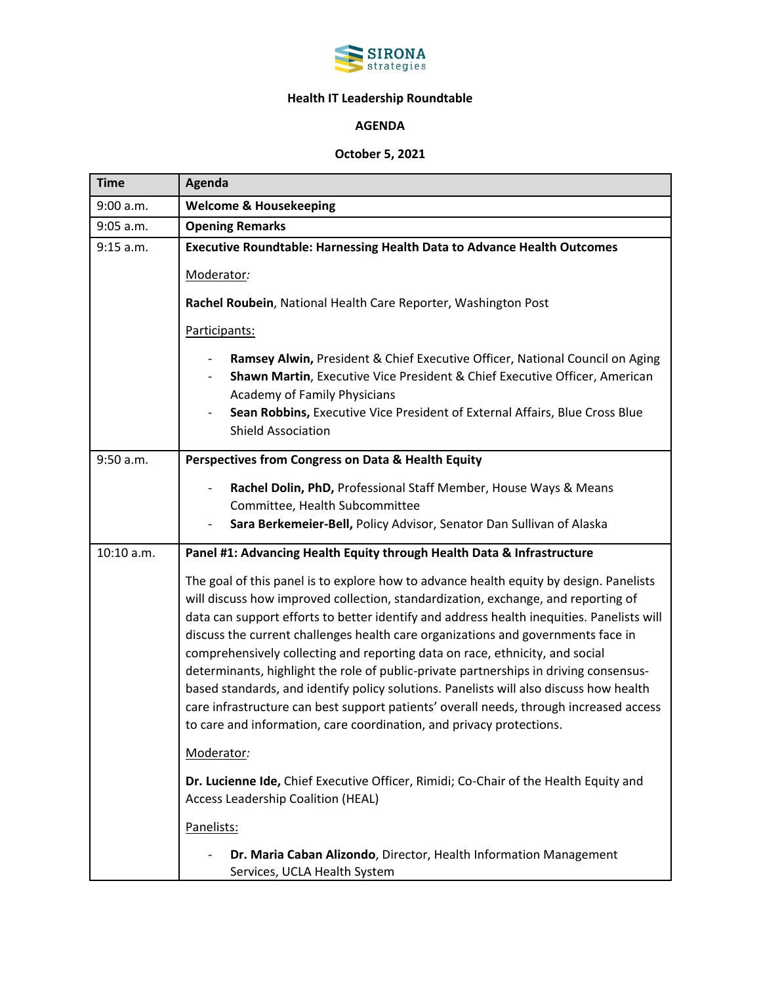

## **Health IT Leadership Roundtable**

## **AGENDA**

## **October 5, 2021**

| <b>Time</b> | Agenda                                                                                                                                                                                                                                                                                                                                                                                                                                                                                                                                                                                                                                                                                                                                                                                            |
|-------------|---------------------------------------------------------------------------------------------------------------------------------------------------------------------------------------------------------------------------------------------------------------------------------------------------------------------------------------------------------------------------------------------------------------------------------------------------------------------------------------------------------------------------------------------------------------------------------------------------------------------------------------------------------------------------------------------------------------------------------------------------------------------------------------------------|
| 9:00 a.m.   | <b>Welcome &amp; Housekeeping</b>                                                                                                                                                                                                                                                                                                                                                                                                                                                                                                                                                                                                                                                                                                                                                                 |
| 9:05 a.m.   | <b>Opening Remarks</b>                                                                                                                                                                                                                                                                                                                                                                                                                                                                                                                                                                                                                                                                                                                                                                            |
| 9:15 a.m.   | <b>Executive Roundtable: Harnessing Health Data to Advance Health Outcomes</b>                                                                                                                                                                                                                                                                                                                                                                                                                                                                                                                                                                                                                                                                                                                    |
|             | Moderator:                                                                                                                                                                                                                                                                                                                                                                                                                                                                                                                                                                                                                                                                                                                                                                                        |
|             | Rachel Roubein, National Health Care Reporter, Washington Post                                                                                                                                                                                                                                                                                                                                                                                                                                                                                                                                                                                                                                                                                                                                    |
|             | Participants:                                                                                                                                                                                                                                                                                                                                                                                                                                                                                                                                                                                                                                                                                                                                                                                     |
|             | Ramsey Alwin, President & Chief Executive Officer, National Council on Aging<br>Shawn Martin, Executive Vice President & Chief Executive Officer, American<br>Academy of Family Physicians<br>Sean Robbins, Executive Vice President of External Affairs, Blue Cross Blue<br><b>Shield Association</b>                                                                                                                                                                                                                                                                                                                                                                                                                                                                                            |
| 9:50 a.m.   | Perspectives from Congress on Data & Health Equity                                                                                                                                                                                                                                                                                                                                                                                                                                                                                                                                                                                                                                                                                                                                                |
|             | Rachel Dolin, PhD, Professional Staff Member, House Ways & Means<br>Committee, Health Subcommittee<br>Sara Berkemeier-Bell, Policy Advisor, Senator Dan Sullivan of Alaska                                                                                                                                                                                                                                                                                                                                                                                                                                                                                                                                                                                                                        |
| 10:10 a.m.  | Panel #1: Advancing Health Equity through Health Data & Infrastructure                                                                                                                                                                                                                                                                                                                                                                                                                                                                                                                                                                                                                                                                                                                            |
|             | The goal of this panel is to explore how to advance health equity by design. Panelists<br>will discuss how improved collection, standardization, exchange, and reporting of<br>data can support efforts to better identify and address health inequities. Panelists will<br>discuss the current challenges health care organizations and governments face in<br>comprehensively collecting and reporting data on race, ethnicity, and social<br>determinants, highlight the role of public-private partnerships in driving consensus-<br>based standards, and identify policy solutions. Panelists will also discuss how health<br>care infrastructure can best support patients' overall needs, through increased access<br>to care and information, care coordination, and privacy protections. |
|             | Moderator:                                                                                                                                                                                                                                                                                                                                                                                                                                                                                                                                                                                                                                                                                                                                                                                        |
|             | Dr. Lucienne Ide, Chief Executive Officer, Rimidi; Co-Chair of the Health Equity and<br>Access Leadership Coalition (HEAL)                                                                                                                                                                                                                                                                                                                                                                                                                                                                                                                                                                                                                                                                        |
|             | Panelists:                                                                                                                                                                                                                                                                                                                                                                                                                                                                                                                                                                                                                                                                                                                                                                                        |
|             | Dr. Maria Caban Alizondo, Director, Health Information Management<br>Services, UCLA Health System                                                                                                                                                                                                                                                                                                                                                                                                                                                                                                                                                                                                                                                                                                 |